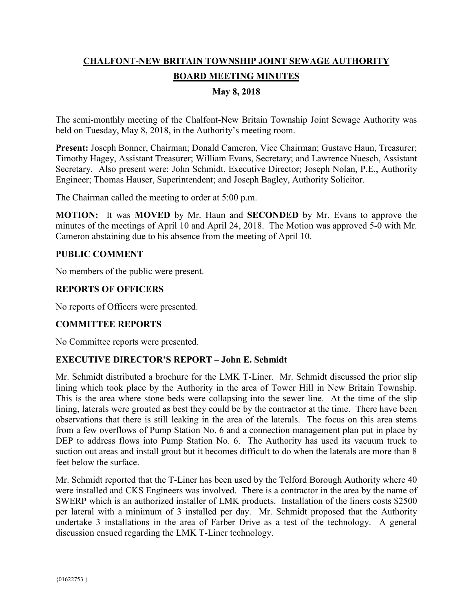# **CHALFONT-NEW BRITAIN TOWNSHIP JOINT SEWAGE AUTHORITY BOARD MEETING MINUTES**

## **May 8, 2018**

The semi-monthly meeting of the Chalfont-New Britain Township Joint Sewage Authority was held on Tuesday, May 8, 2018, in the Authority's meeting room.

**Present:** Joseph Bonner, Chairman; Donald Cameron, Vice Chairman; Gustave Haun, Treasurer; Timothy Hagey, Assistant Treasurer; William Evans, Secretary; and Lawrence Nuesch, Assistant Secretary. Also present were: John Schmidt, Executive Director; Joseph Nolan, P.E., Authority Engineer; Thomas Hauser, Superintendent; and Joseph Bagley, Authority Solicitor.

The Chairman called the meeting to order at 5:00 p.m.

**MOTION:** It was **MOVED** by Mr. Haun and **SECONDED** by Mr. Evans to approve the minutes of the meetings of April 10 and April 24, 2018. The Motion was approved 5-0 with Mr. Cameron abstaining due to his absence from the meeting of April 10.

#### **PUBLIC COMMENT**

No members of the public were present.

## **REPORTS OF OFFICERS**

No reports of Officers were presented.

# **COMMITTEE REPORTS**

No Committee reports were presented.

#### **EXECUTIVE DIRECTOR'S REPORT – John E. Schmidt**

Mr. Schmidt distributed a brochure for the LMK T-Liner. Mr. Schmidt discussed the prior slip lining which took place by the Authority in the area of Tower Hill in New Britain Township. This is the area where stone beds were collapsing into the sewer line. At the time of the slip lining, laterals were grouted as best they could be by the contractor at the time. There have been observations that there is still leaking in the area of the laterals. The focus on this area stems from a few overflows of Pump Station No. 6 and a connection management plan put in place by DEP to address flows into Pump Station No. 6. The Authority has used its vacuum truck to suction out areas and install grout but it becomes difficult to do when the laterals are more than 8 feet below the surface.

Mr. Schmidt reported that the T-Liner has been used by the Telford Borough Authority where 40 were installed and CKS Engineers was involved. There is a contractor in the area by the name of SWERP which is an authorized installer of LMK products. Installation of the liners costs \$2500 per lateral with a minimum of 3 installed per day. Mr. Schmidt proposed that the Authority undertake 3 installations in the area of Farber Drive as a test of the technology. A general discussion ensued regarding the LMK T-Liner technology.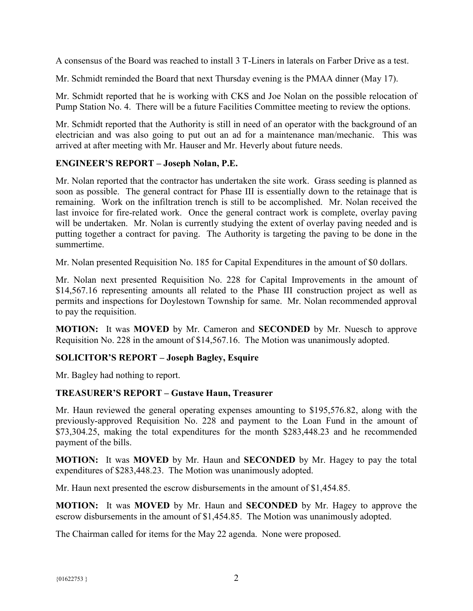A consensus of the Board was reached to install 3 T-Liners in laterals on Farber Drive as a test.

Mr. Schmidt reminded the Board that next Thursday evening is the PMAA dinner (May 17).

Mr. Schmidt reported that he is working with CKS and Joe Nolan on the possible relocation of Pump Station No. 4. There will be a future Facilities Committee meeting to review the options.

Mr. Schmidt reported that the Authority is still in need of an operator with the background of an electrician and was also going to put out an ad for a maintenance man/mechanic. This was arrived at after meeting with Mr. Hauser and Mr. Heverly about future needs.

## **ENGINEER'S REPORT – Joseph Nolan, P.E.**

Mr. Nolan reported that the contractor has undertaken the site work. Grass seeding is planned as soon as possible. The general contract for Phase III is essentially down to the retainage that is remaining. Work on the infiltration trench is still to be accomplished. Mr. Nolan received the last invoice for fire-related work. Once the general contract work is complete, overlay paving will be undertaken. Mr. Nolan is currently studying the extent of overlay paving needed and is putting together a contract for paving. The Authority is targeting the paving to be done in the summertime.

Mr. Nolan presented Requisition No. 185 for Capital Expenditures in the amount of \$0 dollars.

Mr. Nolan next presented Requisition No. 228 for Capital Improvements in the amount of \$14,567.16 representing amounts all related to the Phase III construction project as well as permits and inspections for Doylestown Township for same. Mr. Nolan recommended approval to pay the requisition.

**MOTION:** It was **MOVED** by Mr. Cameron and **SECONDED** by Mr. Nuesch to approve Requisition No. 228 in the amount of \$14,567.16. The Motion was unanimously adopted.

# **SOLICITOR'S REPORT – Joseph Bagley, Esquire**

Mr. Bagley had nothing to report.

#### **TREASURER'S REPORT – Gustave Haun, Treasurer**

Mr. Haun reviewed the general operating expenses amounting to \$195,576.82, along with the previously-approved Requisition No. 228 and payment to the Loan Fund in the amount of \$73,304.25, making the total expenditures for the month \$283,448.23 and he recommended payment of the bills.

**MOTION:** It was **MOVED** by Mr. Haun and **SECONDED** by Mr. Hagey to pay the total expenditures of \$283,448.23. The Motion was unanimously adopted.

Mr. Haun next presented the escrow disbursements in the amount of \$1,454.85.

**MOTION:** It was **MOVED** by Mr. Haun and **SECONDED** by Mr. Hagey to approve the escrow disbursements in the amount of \$1,454.85. The Motion was unanimously adopted.

The Chairman called for items for the May 22 agenda. None were proposed.